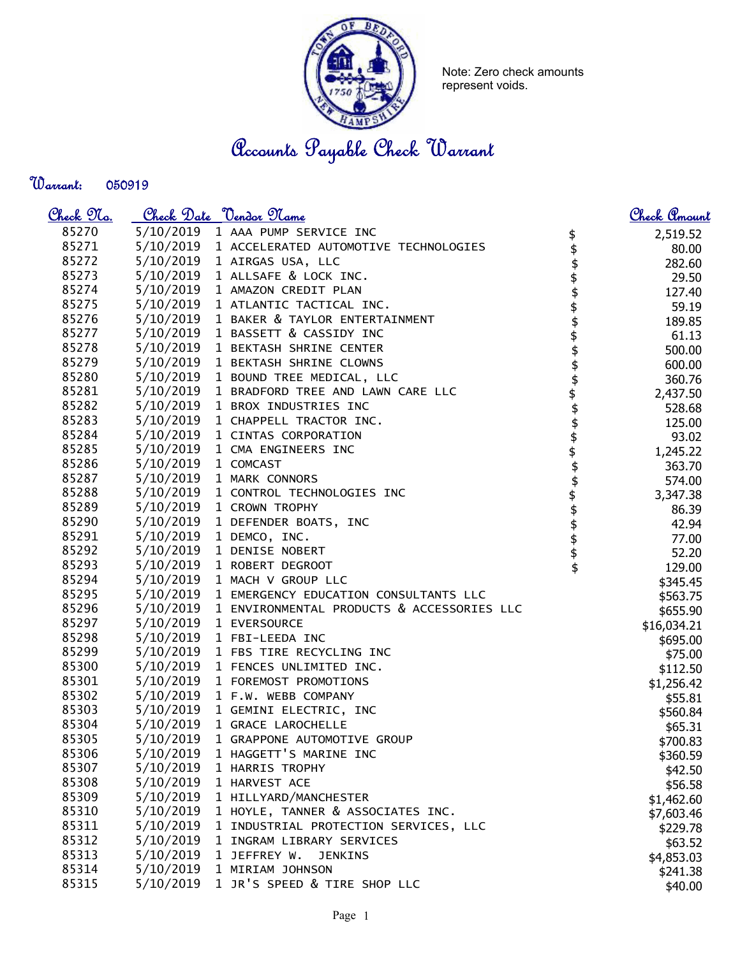

Note: Zero check amounts represent voids.

Accounts Payable Check Warrant

Warrant: 

| <u>Check 97a.</u> |                     | Check Date <u>Vendor</u> Name                        |                                         | <u>Check Amount</u> |
|-------------------|---------------------|------------------------------------------------------|-----------------------------------------|---------------------|
| 85270             |                     | 5/10/2019 1 AAA PUMP SERVICE INC                     |                                         | 2,519.52            |
| 85271             |                     | 5/10/2019 1 ACCELERATED AUTOMOTIVE TECHNOLOGIES      |                                         | 80.00               |
| 85272             |                     | 5/10/2019 1 AIRGAS USA, LLC                          |                                         | 282.60              |
| 85273             |                     | 5/10/2019 1 ALLSAFE & LOCK INC.                      |                                         | 29.50               |
| 85274             |                     | 5/10/2019 1 AMAZON CREDIT PLAN                       |                                         | 127.40              |
| 85275             |                     | 5/10/2019 1 ATLANTIC TACTICAL INC.                   |                                         | 59.19               |
| 85276             |                     | 5/10/2019 1 BAKER & TAYLOR ENTERTAINMENT             | \$\$\$\$\$\$\$                          | 189.85              |
| 85277             |                     | 5/10/2019 1 BASSETT & CASSIDY INC                    |                                         | 61.13               |
| 85278             |                     | 5/10/2019 1 BEKTASH SHRINE CENTER                    |                                         | 500.00              |
| 85279             |                     | 5/10/2019 1 BEKTASH SHRINE CLOWNS                    |                                         | 600.00              |
| 85280             |                     | 5/10/2019 1 BOUND TREE MEDICAL, LLC                  |                                         | 360.76              |
| 85281             |                     | 5/10/2019 1 BRADFORD TREE AND LAWN CARE LLC          |                                         | 2,437.50            |
| 85282             |                     | 5/10/2019 1 BROX INDUSTRIES INC                      |                                         | 528.68              |
| 85283             |                     | 5/10/2019 1 CHAPPELL TRACTOR INC.                    |                                         | 125.00              |
| 85284             |                     | 5/10/2019 1 CINTAS CORPORATION                       |                                         | 93.02               |
| 85285             |                     | 5/10/2019 1 CMA ENGINEERS INC                        |                                         | 1,245.22            |
| 85286             | 5/10/2019 1 COMCAST |                                                      |                                         | 363.70              |
| 85287             |                     | 5/10/2019 1 MARK CONNORS                             |                                         | 574.00              |
| 85288             |                     | 5/10/2019 1 CONTROL TECHNOLOGIES INC                 |                                         | 3,347.38            |
| 85289             |                     | 5/10/2019 1 CROWN TROPHY                             |                                         | 86.39               |
| 85290             |                     | 5/10/2019 1 DEFENDER BOATS, INC                      |                                         | 42.94               |
| 85291             |                     | 5/10/2019 1 DEMCO, INC.                              |                                         | 77.00               |
| 85292             |                     | 5/10/2019 1 DENISE NOBERT                            | <b>\$\$\$\$\$\$\$\$\$\$\$\$\$\$\$\$</b> | 52.20               |
| 85293             |                     | 5/10/2019 1 ROBERT DEGROOT                           |                                         | 129.00              |
| 85294             |                     | 5/10/2019 1 MACH V GROUP LLC                         |                                         | \$345.45            |
| 85295             |                     | 5/10/2019 1 EMERGENCY EDUCATION CONSULTANTS LLC      |                                         | \$563.75            |
| 85296             |                     | 5/10/2019 1 ENVIRONMENTAL PRODUCTS & ACCESSORIES LLC |                                         | \$655.90            |
| 85297             |                     | 5/10/2019 1 EVERSOURCE                               |                                         | \$16,034.21         |
| 85298             |                     | 5/10/2019 1 FBI-LEEDA INC                            |                                         | \$695.00            |
| 85299             |                     | 5/10/2019 1 FBS TIRE RECYCLING INC                   |                                         | \$75.00             |
| 85300             |                     | 5/10/2019 1 FENCES UNLIMITED INC.                    |                                         | \$112.50            |
| 85301             |                     | 5/10/2019 1 FOREMOST PROMOTIONS                      |                                         | \$1,256.42          |
| 85302             |                     | 5/10/2019 1 F.W. WEBB COMPANY                        |                                         | \$55.81             |
| 85303             |                     | 5/10/2019 1 GEMINI ELECTRIC, INC                     |                                         | \$560.84            |
| 85304             |                     | 5/10/2019 1 GRACE LAROCHELLE                         |                                         | \$65.31             |
| 85305             | 5/10/2019           | 1 GRAPPONE AUTOMOTIVE GROUP                          |                                         | \$700.83            |
| 85306             | 5/10/2019           | 1 HAGGETT'S MARINE INC                               |                                         | \$360.59            |
| 85307             | 5/10/2019           | 1 HARRIS TROPHY                                      |                                         | \$42.50             |
| 85308             | 5/10/2019           | 1 HARVEST ACE                                        |                                         | \$56.58             |
| 85309             | 5/10/2019           | 1 HILLYARD/MANCHESTER                                |                                         | \$1,462.60          |
| 85310             | 5/10/2019           | 1 HOYLE, TANNER & ASSOCIATES INC.                    |                                         | \$7,603.46          |
| 85311             | 5/10/2019           | 1 INDUSTRIAL PROTECTION SERVICES, LLC                |                                         | \$229.78            |
| 85312             | 5/10/2019           | 1 INGRAM LIBRARY SERVICES                            |                                         | \$63.52             |
| 85313             | 5/10/2019           | 1 JEFFREY W.<br><b>JENKINS</b>                       |                                         | \$4,853.03          |
| 85314             | 5/10/2019           | 1 MIRIAM JOHNSON                                     |                                         | \$241.38            |
| 85315             | 5/10/2019           | 1 JR'S SPEED & TIRE SHOP LLC                         |                                         | \$40.00             |